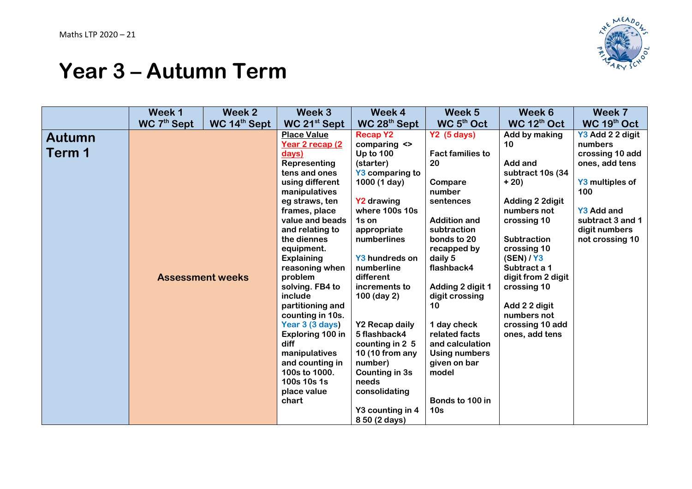

## **Year 3 – Autumn Term**

| WC 7 <sup>th</sup> Sept<br>WC 14 <sup>th</sup> Sept<br>WC 5 <sup>th</sup> Oct<br>WC 12th Oct<br>WC 19th Oct<br>WC 21 <sup>st</sup> Sept<br>WC 28 <sup>th</sup> Sept<br><b>Place Value</b><br><b>Recap Y2</b><br>Y3 Add 2 2 digit<br>Y2(5 days)<br>Add by making<br>Autumn<br>numbers<br>Year 2 recap (2<br>comparing <><br>10<br>Term 1<br>crossing 10 add<br>Up to $100$<br><b>Fact families to</b><br>days)<br>20<br>Representing<br>(starter)<br>Add and<br>ones, add tens<br>tens and ones<br>Y3 comparing to<br>subtract 10s (34 | Week 7 | Week 6 | Week 5 | Week 4 | Week 3 | Week 2 | Week 1 |  |
|---------------------------------------------------------------------------------------------------------------------------------------------------------------------------------------------------------------------------------------------------------------------------------------------------------------------------------------------------------------------------------------------------------------------------------------------------------------------------------------------------------------------------------------|--------|--------|--------|--------|--------|--------|--------|--|
|                                                                                                                                                                                                                                                                                                                                                                                                                                                                                                                                       |        |        |        |        |        |        |        |  |
|                                                                                                                                                                                                                                                                                                                                                                                                                                                                                                                                       |        |        |        |        |        |        |        |  |
|                                                                                                                                                                                                                                                                                                                                                                                                                                                                                                                                       |        |        |        |        |        |        |        |  |
|                                                                                                                                                                                                                                                                                                                                                                                                                                                                                                                                       |        |        |        |        |        |        |        |  |
|                                                                                                                                                                                                                                                                                                                                                                                                                                                                                                                                       |        |        |        |        |        |        |        |  |
| $+20)$                                                                                                                                                                                                                                                                                                                                                                                                                                                                                                                                |        |        |        |        |        |        |        |  |
| using different<br>1000 (1 day)<br>Y3 multiples of<br>Compare<br>number<br>100<br>manipulatives                                                                                                                                                                                                                                                                                                                                                                                                                                       |        |        |        |        |        |        |        |  |
| eg straws, ten<br><b>Y2 drawing</b><br>Adding 2 2digit<br>sentences                                                                                                                                                                                                                                                                                                                                                                                                                                                                   |        |        |        |        |        |        |        |  |
| where 100s 10s<br><b>Y3 Add and</b><br>frames, place<br>numbers not                                                                                                                                                                                                                                                                                                                                                                                                                                                                   |        |        |        |        |        |        |        |  |
| value and beads<br><b>Addition and</b><br>subtract 3 and 1<br>crossing 10<br>1s on                                                                                                                                                                                                                                                                                                                                                                                                                                                    |        |        |        |        |        |        |        |  |
| and relating to<br>subtraction<br>digit numbers<br>appropriate                                                                                                                                                                                                                                                                                                                                                                                                                                                                        |        |        |        |        |        |        |        |  |
| the diennes<br>bonds to 20<br><b>Subtraction</b><br>not crossing 10<br>numberlines                                                                                                                                                                                                                                                                                                                                                                                                                                                    |        |        |        |        |        |        |        |  |
| recapped by<br>crossing 10<br>equipment.                                                                                                                                                                                                                                                                                                                                                                                                                                                                                              |        |        |        |        |        |        |        |  |
| Y3 hundreds on<br>daily 5<br>(SEN) / Y3<br><b>Explaining</b>                                                                                                                                                                                                                                                                                                                                                                                                                                                                          |        |        |        |        |        |        |        |  |
| flashback4<br>Subtract a 1<br>numberline<br>reasoning when                                                                                                                                                                                                                                                                                                                                                                                                                                                                            |        |        |        |        |        |        |        |  |
| <b>Assessment weeks</b><br>problem<br>different<br>digit from 2 digit                                                                                                                                                                                                                                                                                                                                                                                                                                                                 |        |        |        |        |        |        |        |  |
| solving. FB4 to<br>Adding 2 digit 1<br>crossing 10<br>increments to<br>include<br>100 (day 2)<br>digit crossing                                                                                                                                                                                                                                                                                                                                                                                                                       |        |        |        |        |        |        |        |  |
| partitioning and<br>Add 2 2 digit<br>10                                                                                                                                                                                                                                                                                                                                                                                                                                                                                               |        |        |        |        |        |        |        |  |
| numbers not<br>counting in 10s.                                                                                                                                                                                                                                                                                                                                                                                                                                                                                                       |        |        |        |        |        |        |        |  |
| Year 3 (3 days)<br><b>Y2 Recap daily</b><br>1 day check<br>crossing 10 add                                                                                                                                                                                                                                                                                                                                                                                                                                                            |        |        |        |        |        |        |        |  |
| related facts<br>Exploring 100 in<br>5 flashback4<br>ones, add tens                                                                                                                                                                                                                                                                                                                                                                                                                                                                   |        |        |        |        |        |        |        |  |
| diff<br>counting in 2 5<br>and calculation                                                                                                                                                                                                                                                                                                                                                                                                                                                                                            |        |        |        |        |        |        |        |  |
| 10 (10 from any<br>manipulatives<br><b>Using numbers</b>                                                                                                                                                                                                                                                                                                                                                                                                                                                                              |        |        |        |        |        |        |        |  |
| number)<br>given on bar<br>and counting in                                                                                                                                                                                                                                                                                                                                                                                                                                                                                            |        |        |        |        |        |        |        |  |
| 100s to 1000.<br><b>Counting in 3s</b><br>model                                                                                                                                                                                                                                                                                                                                                                                                                                                                                       |        |        |        |        |        |        |        |  |
| needs<br>100s 10s 1s                                                                                                                                                                                                                                                                                                                                                                                                                                                                                                                  |        |        |        |        |        |        |        |  |
| place value<br>consolidating                                                                                                                                                                                                                                                                                                                                                                                                                                                                                                          |        |        |        |        |        |        |        |  |
| Bonds to 100 in<br>chart<br>Y3 counting in 4<br>10 <sub>s</sub>                                                                                                                                                                                                                                                                                                                                                                                                                                                                       |        |        |        |        |        |        |        |  |
| 8 50 (2 days)                                                                                                                                                                                                                                                                                                                                                                                                                                                                                                                         |        |        |        |        |        |        |        |  |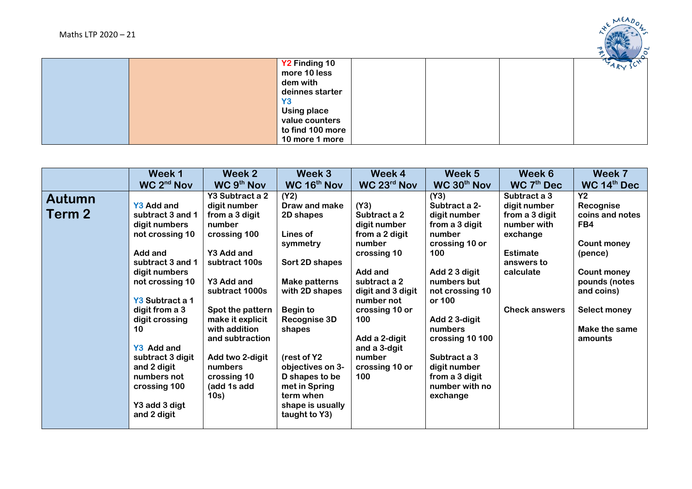

|  | Y2 Finding 10      |  | <b>LARY</b> |
|--|--------------------|--|-------------|
|  | more 10 less       |  |             |
|  | dem with           |  |             |
|  | deinnes starter    |  |             |
|  | Y <sub>3</sub>     |  |             |
|  | <b>Using place</b> |  |             |
|  | value counters     |  |             |
|  | to find 100 more   |  |             |
|  | 10 more 1 more     |  |             |

|                                | Week 1                                                                                                                                                                                                                                                                                                                                       | Week 2                                                                                                                                                                                                                                                                                                               | Week 3                                                                                                                                                                                                                                                                                                   | Week 4                                                                                                                                                                                                                                                                | Week 5                                                                                                                                                                                                                                                                                                            | Week 6                                                                                                                                                                    | Week 7                                                                                                                                                                                          |
|--------------------------------|----------------------------------------------------------------------------------------------------------------------------------------------------------------------------------------------------------------------------------------------------------------------------------------------------------------------------------------------|----------------------------------------------------------------------------------------------------------------------------------------------------------------------------------------------------------------------------------------------------------------------------------------------------------------------|----------------------------------------------------------------------------------------------------------------------------------------------------------------------------------------------------------------------------------------------------------------------------------------------------------|-----------------------------------------------------------------------------------------------------------------------------------------------------------------------------------------------------------------------------------------------------------------------|-------------------------------------------------------------------------------------------------------------------------------------------------------------------------------------------------------------------------------------------------------------------------------------------------------------------|---------------------------------------------------------------------------------------------------------------------------------------------------------------------------|-------------------------------------------------------------------------------------------------------------------------------------------------------------------------------------------------|
| <b>Autumn</b><br><b>Term 2</b> | WC 2 <sup>nd</sup> Nov<br>Y3 Add and<br>subtract 3 and 1<br>digit numbers<br>not crossing 10<br>Add and<br>subtract 3 and 1<br>digit numbers<br>not crossing 10<br>Y3 Subtract a 1<br>digit from a 3<br>digit crossing<br>10<br>Y3 Add and<br>subtract 3 digit<br>and 2 digit<br>numbers not<br>crossing 100<br>Y3 add 3 digt<br>and 2 digit | WC 9 <sup>th</sup> Nov<br>Y3 Subtract a 2<br>digit number<br>from a 3 digit<br>number<br>crossing 100<br>Y3 Add and<br>subtract 100s<br>Y3 Add and<br>subtract 1000s<br>Spot the pattern<br>make it explicit<br>with addition<br>and subtraction<br>Add two 2-digit<br>numbers<br>crossing 10<br>(add 1s add<br>10s) | WC 16 <sup>th</sup> Nov<br>(Y2)<br>Draw and make<br>2D shapes<br>Lines of<br>symmetry<br>Sort 2D shapes<br>Make patterns<br>with 2D shapes<br>Begin to<br>Recognise 3D<br>shapes<br>(rest of Y2<br>objectives on 3-<br>D shapes to be<br>met in Spring<br>term when<br>shape is usually<br>taught to Y3) | WC 23 <sup>rd</sup> Nov<br>(Y3)<br>Subtract a 2<br>digit number<br>from a 2 digit<br>number<br>crossing 10<br>Add and<br>subtract a 2<br>digit and 3 digit<br>number not<br>crossing 10 or<br>100<br>Add a 2-digit<br>and a 3-dgit<br>number<br>crossing 10 or<br>100 | WC 30 <sup>th</sup> Nov<br>(Y3)<br>Subtract a 2-<br>digit number<br>from a 3 digit<br>number<br>crossing 10 or<br>100<br>Add 2 3 digit<br>numbers but<br>not crossing 10<br>or 100<br>Add 2 3-digit<br>numbers<br>crossing 10 100<br>Subtract a 3<br>digit number<br>from a 3 digit<br>number with no<br>exchange | WC 7 <sup>th</sup> Dec<br>Subtract a 3<br>digit number<br>from a 3 digit<br>number with<br>exchange<br><b>Estimate</b><br>answers to<br>calculate<br><b>Check answers</b> | WC 14 <sup>th</sup> Dec<br><b>Y2</b><br>Recognise<br>coins and notes<br>FB4<br>Count money<br>(pence)<br>Count money<br>pounds (notes<br>and coins)<br>Select money<br>Make the same<br>amounts |